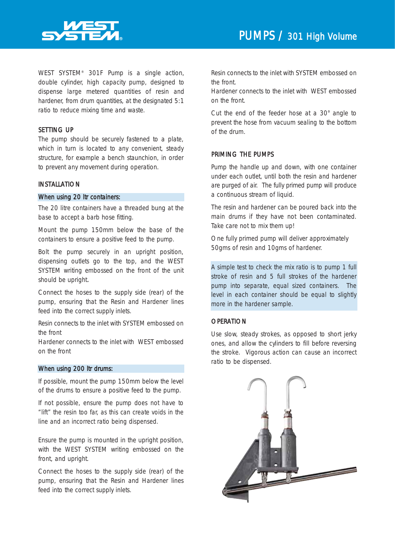

WEST SYSTEM® 301F Pump is a single action, double cylinder, high capacity pump, designed to dispense large metered quantities of resin and hardener, from drum quantities, at the designated 5:1 ratio to reduce mixing time and waste.

# SETTING UP

The pump should be securely fastened to a plate, which in turn is located to any convenient, steady structure, for example a bench staunchion, in order to prevent any movement during operation.

## INSTALLATION

#### When using 20 ltr containers:

The 20 litre containers have a threaded bung at the base to accept a barb hose fitting.

Mount the pump 150mm below the base of the containers to ensure a positive feed to the pump.

Bolt the pump securely in an upright position, dispensing outlets go to the top, and the WEST SYSTEM writing embossed on the front of the unit should be upright.

Connect the hoses to the supply side (rear) of the pump, ensuring that the Resin and Hardener lines feed into the correct supply inlets.

Resin connects to the inlet with SYSTEM embossed on the front

Hardener connects to the inlet with WEST embossed on the front

#### When using 200 ltr drums:

If possible, mount the pump 150mm below the level of the drums to ensure a positive feed to the pump.

*If not possible, ensure the pump does not have to "lift" the resin too far, as this can create voids in the line and an incorrect ratio being dispensed.*

Ensure the pump is mounted in the upright position, with the WEST SYSTEM writing embossed on the front, and upright.

Connect the hoses to the supply side (rear) of the pump, ensuring that the Resin and Hardener lines feed into the correct supply inlets.

Resin connects to the inlet with SYSTEM embossed on the front.

Hardener connects to the inlet with WEST embossed on the front.

Cut the end of the feeder hose at a 30° angle to prevent the hose from vacuum sealing to the bottom of the drum.

#### PRIMING THE PUMPS

Pump the handle up and down, with one container under each outlet, until both the resin and hardener are purged of air. The fully primed pump will produce a continuous stream of liquid.

The resin and hardener can be poured back into the main drums if they have not been contaminated. Take care not to mix them up!

One fully primed pump will deliver approximately 50gms of resin and 10gms of hardener.

*A simple test to check the mix ratio is to pump 1 full stroke of resin and 5 full strokes of the hardener pump into separate, equal sized containers. The level in each container should be equal to slightly more in the hardener sample.*

## **OPERATION**

Use slow, steady strokes, as opposed to short jerky ones, and allow the cylinders to fill before reversing the stroke. Vigorous action can cause an incorrect ratio to be dispensed.